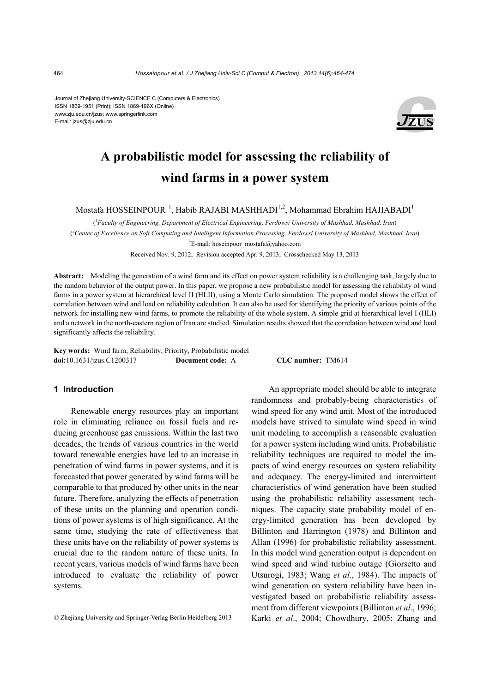Journal of Zhejiang University-SCIENCE C (Computers & Electronics) ISSN 1869-1951 (Print); ISSN 1869-196X (Online) www.zju.edu.cn/jzus; www.springerlink.com E-mail: jzus@zju.edu.cn



# **A probabilistic model for assessing the reliability of wind farms in a power system**

Mostafa HOSSEINPOUR<sup>†1</sup>, Habib RAJABI MASHHADI<sup>1,2</sup>, Mohammad Ebrahim HAJIABADI<sup>1</sup>

( *1 Faculty of Engineering, Department of Electrical Engineering, Ferdowsi University of Mashhad, Mashhad, Iran*)

( *2 Center of Excellence on Soft Computing and Intelligent Information Processing, Ferdowsi University of Mashhad, Mashhad, Iran*) † E-mail: hoseinpoor\_mostafa@yahoo.com

Received Nov. 9, 2012; Revision accepted Apr. 9, 2013; Crosschecked May 13, 2013

**Abstract:** Modeling the generation of a wind farm and its effect on power system reliability is a challenging task, largely due to the random behavior of the output power. In this paper, we propose a new probabilistic model for assessing the reliability of wind farms in a power system at hierarchical level II (HLII), using a Monte Carlo simulation. The proposed model shows the effect of correlation between wind and load on reliability calculation. It can also be used for identifying the priority of various points of the network for installing new wind farms, to promote the reliability of the whole system. A simple grid at hierarchical level I (HLI) and a network in the north-eastern region of Iran are studied. Simulation results showed that the correlation between wind and load significantly affects the reliability.

**Key words:** Wind farm, Reliability, Priority, Probabilistic model **doi:**10.1631/jzus.C1200317 **Document code:** A **CLC number:** TM614

## **1 Introduction**

Renewable energy resources play an important role in eliminating reliance on fossil fuels and reducing greenhouse gas emissions. Within the last two decades, the trends of various countries in the world toward renewable energies have led to an increase in penetration of wind farms in power systems, and it is forecasted that power generated by wind farms will be comparable to that produced by other units in the near future. Therefore, analyzing the effects of penetration of these units on the planning and operation conditions of power systems is of high significance. At the same time, studying the rate of effectiveness that these units have on the reliability of power systems is crucial due to the random nature of these units. In recent years, various models of wind farms have been introduced to evaluate the reliability of power systems.

An appropriate model should be able to integrate randomness and probably-being characteristics of wind speed for any wind unit. Most of the introduced models have strived to simulate wind speed in wind unit modeling to accomplish a reasonable evaluation for a power system including wind units. Probabilistic reliability techniques are required to model the impacts of wind energy resources on system reliability and adequacy. The energy-limited and intermittent characteristics of wind generation have been studied using the probabilistic reliability assessment techniques. The capacity state probability model of energy-limited generation has been developed by Billinton and Harrington (1978) and Billinton and Allan (1996) for probabilistic reliability assessment. In this model wind generation output is dependent on wind speed and wind turbine outage (Giorsetto and Utsurogi, 1983; Wang *et al.*, 1984). The impacts of wind generation on system reliability have been investigated based on probabilistic reliability assessment from different viewpoints (Billinton *et al*., 1996; Karki *et al*., 2004; Chowdhury, 2005; Zhang and

<sup>©</sup> Zhejiang University and Springer-Verlag Berlin Heidelberg 2013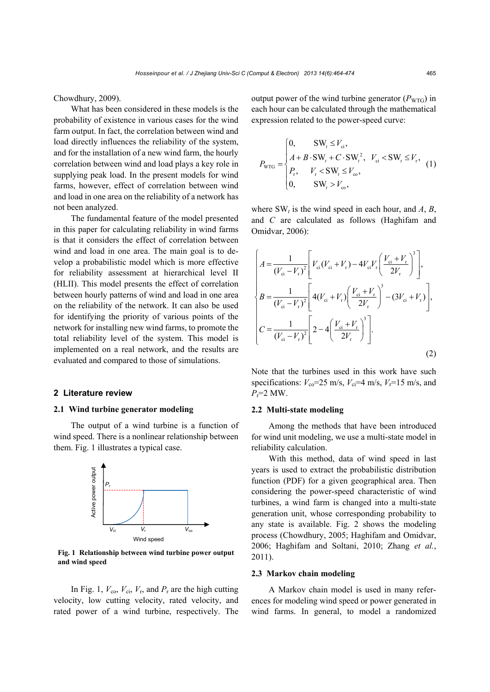Chowdhury, 2009).

What has been considered in these models is the probability of existence in various cases for the wind farm output. In fact, the correlation between wind and load directly influences the reliability of the system, and for the installation of a new wind farm, the hourly correlation between wind and load plays a key role in supplying peak load. In the present models for wind farms, however, effect of correlation between wind and load in one area on the reliability of a network has not been analyzed.

The fundamental feature of the model presented in this paper for calculating reliability in wind farms is that it considers the effect of correlation between wind and load in one area. The main goal is to develop a probabilistic model which is more effective for reliability assessment at hierarchical level II (HLII). This model presents the effect of correlation between hourly patterns of wind and load in one area on the reliability of the network. It can also be used for identifying the priority of various points of the network for installing new wind farms, to promote the total reliability level of the system. This model is implemented on a real network, and the results are evaluated and compared to those of simulations.

# **2 Literature review**

## **2.1 Wind turbine generator modeling**

The output of a wind turbine is a function of wind speed. There is a nonlinear relationship between them. Fig. 1 illustrates a typical case.



**Fig. 1 Relationship between wind turbine power output** 

In Fig. 1,  $V_{\text{co}}$ ,  $V_{\text{ci}}$ ,  $V_{\text{r}}$ , and  $P_{\text{r}}$  are the high cutting velocity, low cutting velocity, rated velocity, and rated power of a wind turbine, respectively. The output power of the wind turbine generator  $(P_{\text{WTG}})$  in each hour can be calculated through the mathematical expression related to the power-speed curve:

$$
P_{\text{WTG}} = \begin{cases} 0, & \text{SW}_t \le V_{\text{ci}}, \\ A + B \cdot \text{SW}_t + C \cdot \text{SW}_t^2, & V_{\text{ci}} < \text{SW}_t \le V_{\text{r}}, \\ P_{\text{r}}, & V_{\text{r}} < \text{SW}_t \le V_{\text{co}}, \\ 0, & \text{SW}_t > V_{\text{co}}, \end{cases} \tag{1}
$$

where  $SW_t$  is the wind speed in each hour, and A, B, and *C* are calculated as follows (Haghifam and Omidvar, 2006):

$$
\begin{cases}\nA = \frac{1}{(V_{ci} - V_{r})^{2}} \left[ V_{ci}(V_{ci} + V_{r}) - 4V_{ci}V_{r} \left( \frac{V_{ci} + V_{r}}{2V_{r}} \right)^{3} \right], \\
B = \frac{1}{(V_{ci} - V_{r})^{2}} \left[ 4(V_{ci} + V_{r}) \left( \frac{V_{ci} + V_{r}}{2V_{r}} \right)^{3} - (3V_{ci} + V_{r}) \right], \\
C = \frac{1}{(V_{ci} - V_{r})^{2}} \left[ 2 - 4 \left( \frac{V_{ci} + V_{r}}{2V_{r}} \right)^{3} \right].\n\end{cases}
$$
\n(2)

Note that the turbines used in this work have such specifications:  $V_{\rm co}$ =25 m/s,  $V_{\rm ci}$ =4 m/s,  $V_{\rm r}$ =15 m/s, and *P*r=2 MW.

#### **2.2 Multi-state modeling**

Among the methods that have been introduced for wind unit modeling, we use a multi-state model in reliability calculation.

With this method, data of wind speed in last years is used to extract the probabilistic distribution function (PDF) for a given geographical area. Then considering the power-speed characteristic of wind turbines, a wind farm is changed into a multi-state generation unit, whose corresponding probability to any state is available. Fig. 2 shows the modeling process (Chowdhury, 2005; Haghifam and Omidvar, 2006; Haghifam and Soltani, 2010; Zhang *et al.*, 2011).

## **2.3 Markov chain modeling**

A Markov chain model is used in many references for modeling wind speed or power generated in wind farms. In general, to model a randomized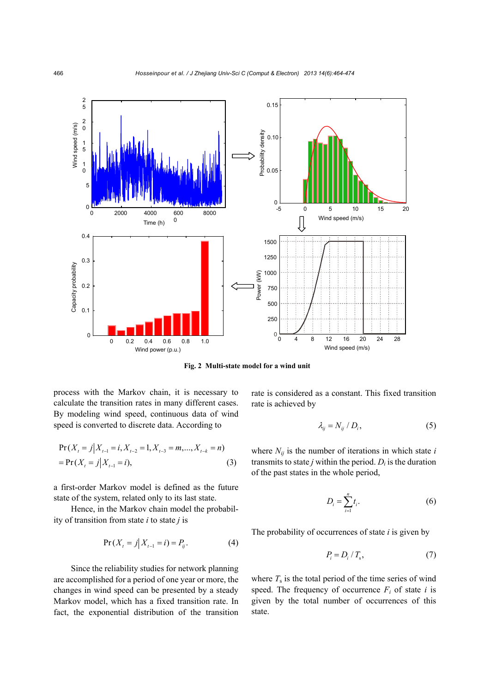

**Fig. 2 Multi-state model for a wind unit** 

process with the Markov chain, it is necessary to calculate the transition rates in many different cases. By modeling wind speed, continuous data of wind speed is converted to discrete data. According to

$$
Pr(X_t = j | X_{t-1} = i, X_{t-2} = 1, X_{t-3} = m, ..., X_{t-k} = n)
$$
  
= 
$$
Pr(X_t = j | X_{t-1} = i),
$$
 (3)

a first-order Markov model is defined as the future state of the system, related only to its last state.

Hence, in the Markov chain model the probability of transition from state *i* to state *j* is

$$
Pr(X_t = j | X_{t-1} = i) = P_{ij}.
$$
 (4)

Since the reliability studies for network planning are accomplished for a period of one year or more, the changes in wind speed can be presented by a steady Markov model, which has a fixed transition rate. In fact, the exponential distribution of the transition rate is considered as a constant. This fixed transition rate is achieved by

$$
\lambda_{ij} = N_{ij} / D_i, \qquad (5)
$$

where  $N_{ii}$  is the number of iterations in which state  $i$ transmits to state *j* within the period.  $D_i$  is the duration of the past states in the whole period,

$$
D_i = \sum_{i=1}^n t_i.
$$
 (6)

The probability of occurrences of state *i* is given by

$$
P_i = D_i / T_s, \tag{7}
$$

where  $T_s$  is the total period of the time series of wind speed. The frequency of occurrence  $F_i$  of state *i* is given by the total number of occurrences of this state.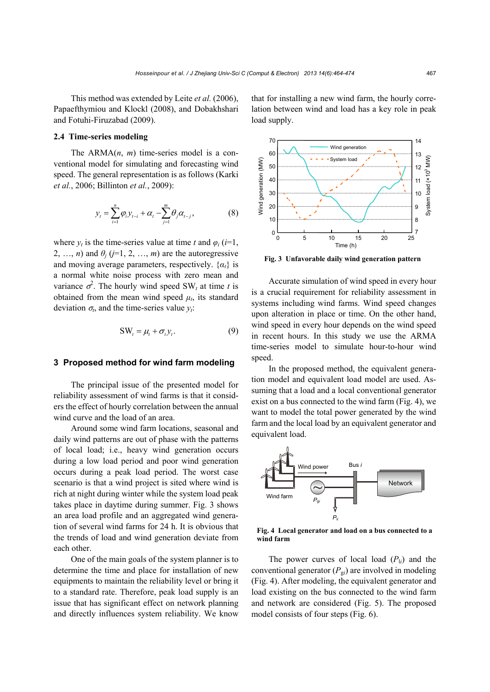This method was extended by Leite *et al.* (2006), Papaefthymiou and Klockl (2008), and Dobakhshari and Fotuhi-Firuzabad (2009).

# **2.4 Time-series modeling**

The  $ARMA(n, m)$  time-series model is a conventional model for simulating and forecasting wind speed. The general representation is as follows (Karki *et al.*, 2006; Billinton *et al.*, 2009):

$$
y_{t} = \sum_{i=1}^{n} \varphi_{i} y_{t-i} + \alpha_{t} - \sum_{j=1}^{m} \theta_{j} \alpha_{t-j},
$$
 (8)

where  $y_t$  is the time-series value at time *t* and  $\varphi_i$  (*i*=1, 2, ..., *n*) and  $\theta$ <sup>*j*</sup> ( $j=1, 2, ..., m$ ) are the autoregressive and moving average parameters, respectively.  $\{\alpha_t\}$  is a normal white noise process with zero mean and variance  $\sigma^2$ . The hourly wind speed SW<sub>t</sub> at time t is obtained from the mean wind speed  $\mu_t$ , its standard deviation  $\sigma_t$ , and the time-series value  $y_t$ .

$$
SWt = \mut + \sigmat yt.
$$
 (9)

#### **3 Proposed method for wind farm modeling**

The principal issue of the presented model for reliability assessment of wind farms is that it considers the effect of hourly correlation between the annual wind curve and the load of an area.

Around some wind farm locations, seasonal and daily wind patterns are out of phase with the patterns of local load; i.e., heavy wind generation occurs during a low load period and poor wind generation occurs during a peak load period. The worst case scenario is that a wind project is sited where wind is rich at night during winter while the system load peak takes place in daytime during summer. Fig. 3 shows an area load profile and an aggregated wind generation of several wind farms for 24 h. It is obvious that the trends of load and wind generation deviate from each other.

One of the main goals of the system planner is to determine the time and place for installation of new equipments to maintain the reliability level or bring it to a standard rate. Therefore, peak load supply is an issue that has significant effect on network planning and directly influences system reliability. We know

that for installing a new wind farm, the hourly correlation between wind and load has a key role in peak load supply.



**Fig. 3 Unfavorable daily wind generation pattern**

Accurate simulation of wind speed in every hour is a crucial requirement for reliability assessment in systems including wind farms. Wind speed changes upon alteration in place or time. On the other hand, wind speed in every hour depends on the wind speed in recent hours. In this study we use the ARMA time-series model to simulate hour-to-hour wind speed.

In the proposed method, the equivalent generation model and equivalent load model are used. Assuming that a load and a local conventional generator exist on a bus connected to the wind farm (Fig. 4), we want to model the total power generated by the wind farm and the local load by an equivalent generator and equivalent load.



**Fig. 4 Local generator and load on a bus connected to a wind farm** 

The power curves of local load  $(P_{li})$  and the conventional generator  $(P_{gi})$  are involved in modeling (Fig. 4). After modeling, the equivalent generator and load existing on the bus connected to the wind farm and network are considered (Fig. 5). The proposed model consists of four steps (Fig. 6).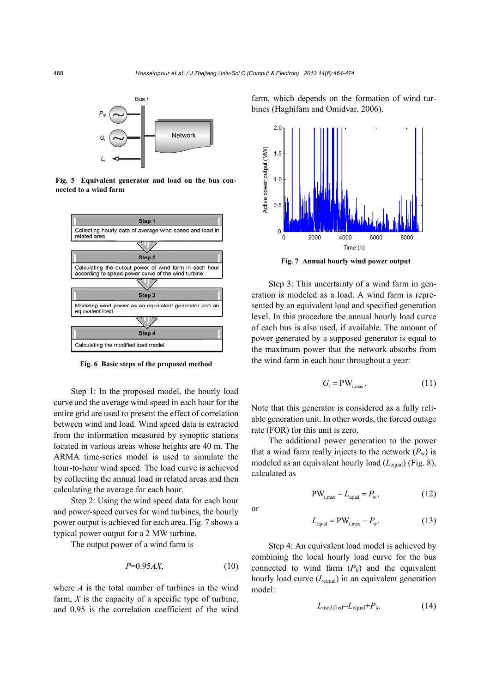

**Fig. 5 Equivalent generator and load on the bus connected to a wind farm** 



**Fig. 6 Basic steps of the proposed method** 

Step 1: In the proposed model, the hourly load curve and the average wind speed in each hour for the entire grid are used to present the effect of correlation between wind and load. Wind speed data is extracted from the information measured by synoptic stations located in various areas whose heights are 40 m. The ARMA time-series model is used to simulate the hour-to-hour wind speed. The load curve is achieved by collecting the annual load in related areas and then calculating the average for each hour.

Step 2: Using the wind speed data for each hour and power-speed curves for wind turbines, the hourly power output is achieved for each area. Fig. 7 shows a typical power output for a 2 MW turbine.

The output power of a wind farm is

$$
P=0.95AX,\t(10)
$$

where *A* is the total number of turbines in the wind farm, *X* is the capacity of a specific type of turbine, and 0.95 is the correlation coefficient of the wind

farm, which depends on the formation of wind turbines (Haghifam and Omidvar, 2006).



**Fig. 7 Annual hourly wind power output** 

Step 3: This uncertainty of a wind farm in generation is modeled as a load. A wind farm is represented by an equivalent load and specified generation level. In this procedure the annual hourly load curve of each bus is also used, if available. The amount of power generated by a supposed generator is equal to the maximum power that the network absorbs from the wind farm in each hour throughout a year:

$$
G_i = \text{PW}_{i,\text{max}}.\tag{11}
$$

Note that this generator is considered as a fully reliable generation unit. In other words, the forced outage rate (FOR) for this unit is zero.

The additional power generation to the power that a wind farm really injects to the network  $(P_w)$  is modeled as an equivalent hourly load (*L*<sub>equal</sub>) (Fig. 8), calculated as

or

$$
PW_{i,\max} - L_{equal} = P_w, \qquad (12)
$$

$$
L_{\text{equal}} = \text{PW}_{i,\text{max}} - P_{\text{w}}.\tag{13}
$$

Step 4: An equivalent load model is achieved by combining the local hourly load curve for the bus connected to wind farm  $(P_{li})$  and the equivalent hourly load curve (*L*equal) in an equivalent generation model:

$$
L_{\text{modified}} = L_{\text{equal}} + P_{\text{li}}.\tag{14}
$$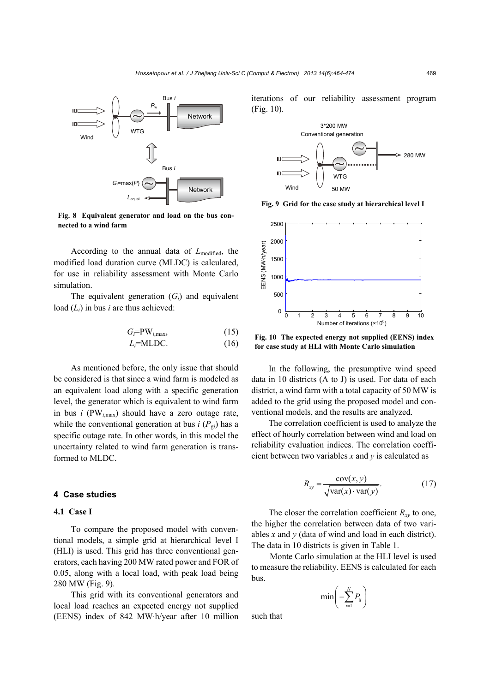

**Fig. 8 Equivalent generator and load on the bus connected to a wind farm** 

According to the annual data of  $L_{\text{modified}}$ , the modified load duration curve (MLDC) is calculated, for use in reliability assessment with Monte Carlo simulation.

The equivalent generation (*Gi*) and equivalent load (*Li*) in bus *i* are thus achieved:

$$
G_i = PW_{i,\text{max}},\tag{15}
$$
\n
$$
L_i = MLDC.\tag{16}
$$

As mentioned before, the only issue that should be considered is that since a wind farm is modeled as an equivalent load along with a specific generation level, the generator which is equivalent to wind farm in bus *i* (PW<sub>i,max</sub>) should have a zero outage rate, while the conventional generation at bus *i* (
$$
P_{gi}
$$
) has a specific outage rate. In other words, in this model the uncertainty related to wind farm generation is transformed to MLDC.

# **4 Case studies**

#### **4.1 Case I**

To compare the proposed model with conventional models, a simple grid at hierarchical level I (HLI) is used. This grid has three conventional generators, each having 200 MW rated power and FOR of 0.05, along with a local load, with peak load being 280 MW (Fig. 9).

This grid with its conventional generators and local load reaches an expected energy not supplied (EENS) index of 842 MW·h/year after 10 million iterations of our reliability assessment program (Fig. 10).



**Fig. 9 Grid for the case study at hierarchical level I** 



**Fig. 10 The expected energy not supplied (EENS) index for case study at HLI with Monte Carlo simulation** 

In the following, the presumptive wind speed data in 10 districts (A to J) is used. For data of each district, a wind farm with a total capacity of 50 MW is added to the grid using the proposed model and conventional models, and the results are analyzed.

The correlation coefficient is used to analyze the effect of hourly correlation between wind and load on reliability evaluation indices. The correlation coefficient between two variables *x* and *y* is calculated as

$$
R_{xy} = \frac{\text{cov}(x, y)}{\sqrt{\text{var}(x) \cdot \text{var}(y)}}.
$$
 (17)

The closer the correlation coefficient  $R_{xy}$  to one, the higher the correlation between data of two variables *x* and *y* (data of wind and load in each district). The data in 10 districts is given in Table 1.

Monte Carlo simulation at the HLI level is used to measure the reliability. EENS is calculated for each bus.

$$
\min\biggl(-\sum_{i=1}^N P_{\rm li}\biggr)
$$

such that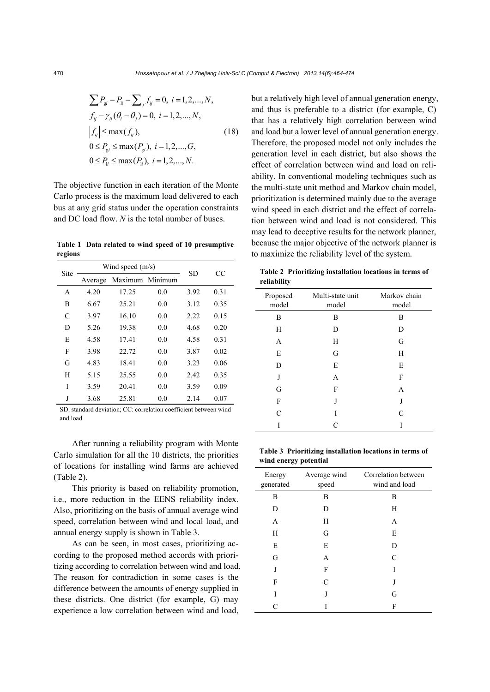# $\sum P_{gi} - P_{li} - \sum_j f_{ij} = 0, i = 1, 2, ..., N,$  $0 \le P_{\text{g}i} \le \max(P_{\text{g}i}), i = 1,2,...,G,$  $0 \le P_{li} \le \max(P_{li}), i = 1,2,...,N.$  $f_{ij} - \gamma_{ij} (\theta_i - \theta_j) = 0, i = 1,2,...,N,$  $f_{ij}$   $\leq$  max $(f_{ij})$ , (18)

The objective function in each iteration of the Monte Carlo process is the maximum load delivered to each bus at any grid status under the operation constraints and DC load flow. *N* is the total number of buses.

**Table 1 Data related to wind speed of 10 presumptive regions** 

| Site | Wind speed $(m/s)$ |                 |     | <b>SD</b> | CC   |
|------|--------------------|-----------------|-----|-----------|------|
|      | Average            | Maximum Minimum |     |           |      |
| A    | 4.20               | 17.25           | 0.0 | 3.92      | 0.31 |
| B    | 6.67               | 25.21           | 0.0 | 3.12      | 0.35 |
| C    | 3.97               | 16 10           | 0.0 | 2.22      | 0.15 |
| D    | 5.26               | 19.38           | 0.0 | 4.68      | 0.20 |
| E    | 4.58               | 17.41           | 0.0 | 4.58      | 0.31 |
| F    | 3.98               | 22.72           | 0.0 | 3.87      | 0.02 |
| G    | 4.83               | 18.41           | 0.0 | 3.23      | 0.06 |
| H    | 5.15               | 25.55           | 0.0 | 2.42      | 0.35 |
| I    | 3.59               | 20.41           | 0.0 | 3.59      | 0.09 |
| J    | 3.68               | 25.81           | 0.0 | 2.14      | 0.07 |

SD: standard deviation; CC: correlation coefficient between wind and load

After running a reliability program with Monte Carlo simulation for all the 10 districts, the priorities of locations for installing wind farms are achieved (Table 2).

This priority is based on reliability promotion, i.e., more reduction in the EENS reliability index. Also, prioritizing on the basis of annual average wind speed, correlation between wind and local load, and annual energy supply is shown in Table 3.

As can be seen, in most cases, prioritizing according to the proposed method accords with prioritizing according to correlation between wind and load. The reason for contradiction in some cases is the difference between the amounts of energy supplied in these districts. One district (for example, G) may experience a low correlation between wind and load,

but a relatively high level of annual generation energy, and thus is preferable to a district (for example, C) that has a relatively high correlation between wind and load but a lower level of annual generation energy. Therefore, the proposed model not only includes the generation level in each district, but also shows the effect of correlation between wind and load on reliability. In conventional modeling techniques such as the multi-state unit method and Markov chain model, prioritization is determined mainly due to the average wind speed in each district and the effect of correlation between wind and load is not considered. This may lead to deceptive results for the network planner, because the major objective of the network planner is to maximize the reliability level of the system.

**Table 2 Prioritizing installation locations in terms of reliability** 

| $\checkmark$      |                           |                       |
|-------------------|---------------------------|-----------------------|
| Proposed<br>model | Multi-state unit<br>model | Markov chain<br>model |
| B                 | B                         | B                     |
| H                 | D                         | D                     |
| A                 | H                         | G                     |
| E                 | G                         | H                     |
| D                 | E                         | E                     |
| J                 | A                         | F                     |
| G                 | F                         | A                     |
| F                 | J                         | J                     |
| C                 | I                         | C                     |
| Ī                 | C                         |                       |

**Table 3 Prioritizing installation locations in terms of wind energy potential** 

|           |              | Correlation between |
|-----------|--------------|---------------------|
| Energy    | Average wind |                     |
| generated | speed        | wind and load       |
| B         | B            | В                   |
| D         | D            | Н                   |
| A         | H            | A                   |
| H         | G            | E                   |
| E         | E            | D                   |
| G         | A            | C                   |
| J         | F            | I                   |
| F         | C            | J                   |
| I         | J            | G                   |
| $\subset$ |              | F                   |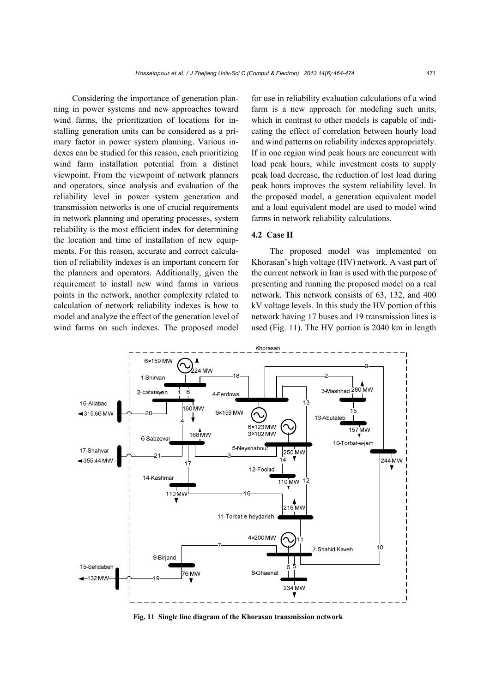Considering the importance of generation planning in power systems and new approaches toward wind farms, the prioritization of locations for installing generation units can be considered as a primary factor in power system planning. Various indexes can be studied for this reason, each prioritizing wind farm installation potential from a distinct viewpoint. From the viewpoint of network planners and operators, since analysis and evaluation of the reliability level in power system generation and transmission networks is one of crucial requirements in network planning and operating processes, system reliability is the most efficient index for determining the location and time of installation of new equipments. For this reason, accurate and correct calculation of reliability indexes is an important concern for the planners and operators. Additionally, given the requirement to install new wind farms in various points in the network, another complexity related to calculation of network reliability indexes is how to model and analyze the effect of the generation level of wind farms on such indexes. The proposed model for use in reliability evaluation calculations of a wind farm is a new approach for modeling such units, which in contrast to other models is capable of indicating the effect of correlation between hourly load and wind patterns on reliability indexes appropriately. If in one region wind peak hours are concurrent with load peak hours, while investment costs to supply peak load decrease, the reduction of lost load during peak hours improves the system reliability level. In the proposed model, a generation equivalent model and a load equivalent model are used to model wind farms in network reliability calculations.

# **4.2 Case II**

The proposed model was implemented on Khorasan's high voltage (HV) network. A vast part of the current network in Iran is used with the purpose of presenting and running the proposed model on a real network. This network consists of 63, 132, and 400 kV voltage levels. In this study the HV portion of this network having 17 buses and 19 transmission lines is used (Fig. 11). The HV portion is 2040 km in length



**Fig. 11 Single line diagram of the Khorasan transmission network**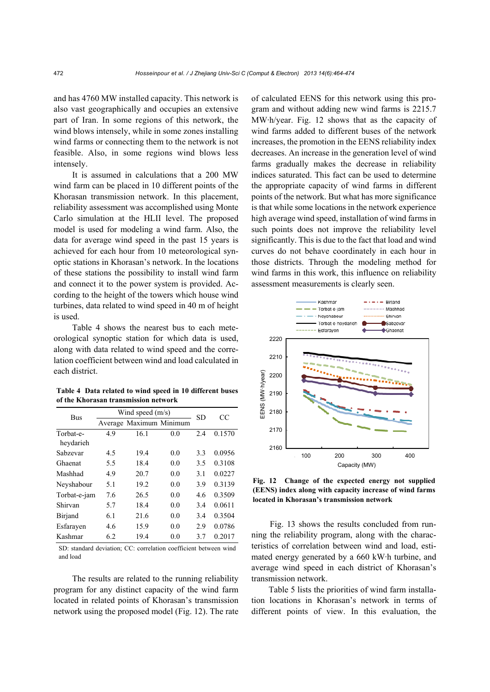and has 4760 MW installed capacity. This network is also vast geographically and occupies an extensive part of Iran. In some regions of this network, the wind blows intensely, while in some zones installing wind farms or connecting them to the network is not feasible. Also, in some regions wind blows less intensely.

It is assumed in calculations that a 200 MW wind farm can be placed in 10 different points of the Khorasan transmission network. In this placement, reliability assessment was accomplished using Monte Carlo simulation at the HLII level. The proposed model is used for modeling a wind farm. Also, the data for average wind speed in the past 15 years is achieved for each hour from 10 meteorological synoptic stations in Khorasan's network. In the locations of these stations the possibility to install wind farm and connect it to the power system is provided. According to the height of the towers which house wind turbines, data related to wind speed in 40 m of height is used.

Table 4 shows the nearest bus to each meteorological synoptic station for which data is used, along with data related to wind speed and the correlation coefficient between wind and load calculated in each district.

**Table 4 Data related to wind speed in 10 different buses of the Khorasan transmission network** 

| Bus            | Wind speed $(m/s)$      |      |     | <b>SD</b> | CC     |
|----------------|-------------------------|------|-----|-----------|--------|
|                | Average Maximum Minimum |      |     |           |        |
| Torbat-e-      | 4.9                     | 16.1 | 0.0 | 2.4       | 0.1570 |
| heydarieh      |                         |      |     |           |        |
| Sabzevar       | 4.5                     | 19.4 | 0.0 | 3.3       | 0.0956 |
| Ghaenat        | 5.5                     | 18.4 | 0.0 | 3.5       | 0.3108 |
| Mashhad        | 4.9                     | 20.7 | 0.0 | 3.1       | 0.0227 |
| Neyshabour     | 5.1                     | 19.2 | 0.0 | 3.9       | 0.3139 |
| Torbat-e-jam   | 7.6                     | 26.5 | 0.0 | 4.6       | 0.3509 |
| Shirvan        | 5.7                     | 18.4 | 0.0 | 3.4       | 0.0611 |
| <b>Birjand</b> | 6.1                     | 21.6 | 0.0 | 3.4       | 0.3504 |
| Esfarayen      | 4.6                     | 15.9 | 0.0 | 2.9       | 0.0786 |
| Kashmar        | 6.2                     | 19.4 | 0.0 | 3.7       | 0.2017 |

SD: standard deviation; CC: correlation coefficient between wind and load

The results are related to the running reliability program for any distinct capacity of the wind farm located in related points of Khorasan's transmission network using the proposed model (Fig. 12). The rate of calculated EENS for this network using this program and without adding new wind farms is 2215.7 MW·h/year. Fig. 12 shows that as the capacity of wind farms added to different buses of the network increases, the promotion in the EENS reliability index decreases. An increase in the generation level of wind farms gradually makes the decrease in reliability indices saturated. This fact can be used to determine the appropriate capacity of wind farms in different points of the network. But what has more significance is that while some locations in the network experience high average wind speed, installation of wind farms in such points does not improve the reliability level significantly. This is due to the fact that load and wind curves do not behave coordinately in each hour in those districts. Through the modeling method for wind farms in this work, this influence on reliability assessment measurements is clearly seen.



**Fig. 12 Change of the expected energy not supplied (EENS) index along with capacity increase of wind farms located in Khorasan's transmission network** 

Fig. 13 shows the results concluded from running the reliability program, along with the characteristics of correlation between wind and load, estimated energy generated by a 660 kW·h turbine, and average wind speed in each district of Khorasan's transmission network.

Table 5 lists the priorities of wind farm installation locations in Khorasan's network in terms of different points of view. In this evaluation, the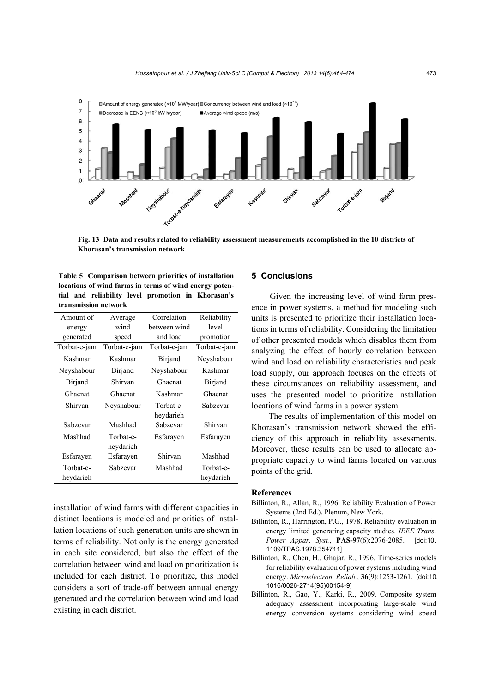

**Fig. 13 Data and results related to reliability assessment measurements accomplished in the 10 districts of Khorasan's transmission network** 

**Table 5 Comparison between priorities of installation locations of wind farms in terms of wind energy potential and reliability level promotion in Khorasan's transmission network** 

| Amount of    | Average      | Correlation    | Reliability  |
|--------------|--------------|----------------|--------------|
| energy       | wind         | between wind   | level        |
| generated    | speed        | and load       | promotion    |
| Torbat-e-jam | Torbat-e-jam | Torbat-e-jam   | Torbat-e-jam |
| Kashmar      | Kashmar      | <b>Birjand</b> | Neyshabour   |
| Neyshabour   | Birjand      | Neyshabour     | Kashmar      |
| Birjand      | Shirvan      | Ghaenat        | Birjand      |
| Ghaenat      | Ghaenat      | Kashmar        | Ghaenat      |
| Shirvan      | Neyshabour   | Torbat-e-      | Sabzevar     |
|              |              | heydarieh      |              |
| Sabzevar     | Mashhad      | Sabzevar       | Shirvan      |
| Mashhad      | Torbat-e-    | Esfarayen      | Esfarayen    |
|              | heydarieh    |                |              |
| Esfarayen    | Esfarayen    | Shirvan        | Mashhad      |
| Torbat-e-    | Sabzevar     | Mashhad        | Torbat-e-    |
| heydarieh    |              |                | heydarieh    |

installation of wind farms with different capacities in distinct locations is modeled and priorities of installation locations of such generation units are shown in terms of reliability. Not only is the energy generated in each site considered, but also the effect of the correlation between wind and load on prioritization is included for each district. To prioritize, this model considers a sort of trade-off between annual energy generated and the correlation between wind and load existing in each district.

# **5 Conclusions**

Given the increasing level of wind farm presence in power systems, a method for modeling such units is presented to prioritize their installation locations in terms of reliability. Considering the limitation of other presented models which disables them from analyzing the effect of hourly correlation between wind and load on reliability characteristics and peak load supply, our approach focuses on the effects of these circumstances on reliability assessment, and uses the presented model to prioritize installation locations of wind farms in a power system.

The results of implementation of this model on Khorasan's transmission network showed the efficiency of this approach in reliability assessments. Moreover, these results can be used to allocate appropriate capacity to wind farms located on various points of the grid.

#### **References**

- Billinton, R., Allan, R., 1996. Reliability Evaluation of Power Systems (2nd Ed.). Plenum, New York.
- Billinton, R., Harrington, P.G., 1978. Reliability evaluation in energy limited generating capacity studies. *IEEE Trans. Power Appar. Syst.*, **PAS-97**(6):2076-2085. [doi:10. 1109/TPAS.1978.354711]
- Billinton, R., Chen, H., Ghajar, R., 1996. Time-series models for reliability evaluation of power systems including wind energy. *Microelectron. Reliab.*, **36**(9):1253-1261. [doi:10. 1016/0026-2714(95)00154-9]
- Billinton, R., Gao, Y., Karki, R., 2009. Composite system adequacy assessment incorporating large-scale wind energy conversion systems considering wind speed